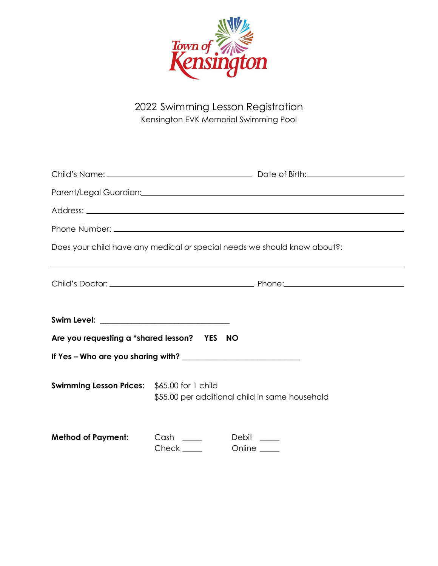

2022 Swimming Lesson Registration Kensington EVK Memorial Swimming Pool

| Does your child have any medical or special needs we should know about?: |                                                    |  |
|--------------------------------------------------------------------------|----------------------------------------------------|--|
|                                                                          |                                                    |  |
| Are you requesting a *shared lesson? YES NO                              |                                                    |  |
|                                                                          |                                                    |  |
| <b>Swimming Lesson Prices:</b> \$65.00 for 1 child                       | \$55.00 per additional child in same household     |  |
| <b>Method of Payment:</b>                                                | Cash ______ Debit ____<br>Check ______ Online ____ |  |